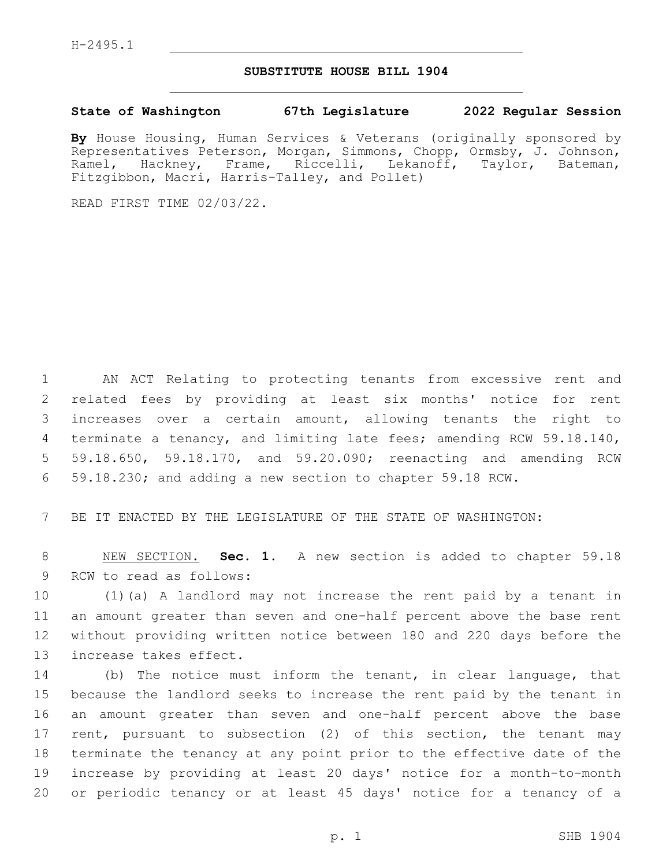## **SUBSTITUTE HOUSE BILL 1904**

## **State of Washington 67th Legislature 2022 Regular Session**

**By** House Housing, Human Services & Veterans (originally sponsored by Representatives Peterson, Morgan, Simmons, Chopp, Ormsby, J. Johnson, Ramel, Hackney, Frame, Riccelli, Lekanoff, Taylor, Bateman, Fitzgibbon, Macri, Harris-Talley, and Pollet)

READ FIRST TIME 02/03/22.

 AN ACT Relating to protecting tenants from excessive rent and related fees by providing at least six months' notice for rent increases over a certain amount, allowing tenants the right to terminate a tenancy, and limiting late fees; amending RCW 59.18.140, 59.18.650, 59.18.170, and 59.20.090; reenacting and amending RCW 59.18.230; and adding a new section to chapter 59.18 RCW.

BE IT ENACTED BY THE LEGISLATURE OF THE STATE OF WASHINGTON:

 NEW SECTION. **Sec. 1.** A new section is added to chapter 59.18 9 RCW to read as follows:

 (1)(a) A landlord may not increase the rent paid by a tenant in an amount greater than seven and one-half percent above the base rent without providing written notice between 180 and 220 days before the 13 increase takes effect.

 (b) The notice must inform the tenant, in clear language, that because the landlord seeks to increase the rent paid by the tenant in an amount greater than seven and one-half percent above the base rent, pursuant to subsection (2) of this section, the tenant may terminate the tenancy at any point prior to the effective date of the increase by providing at least 20 days' notice for a month-to-month or periodic tenancy or at least 45 days' notice for a tenancy of a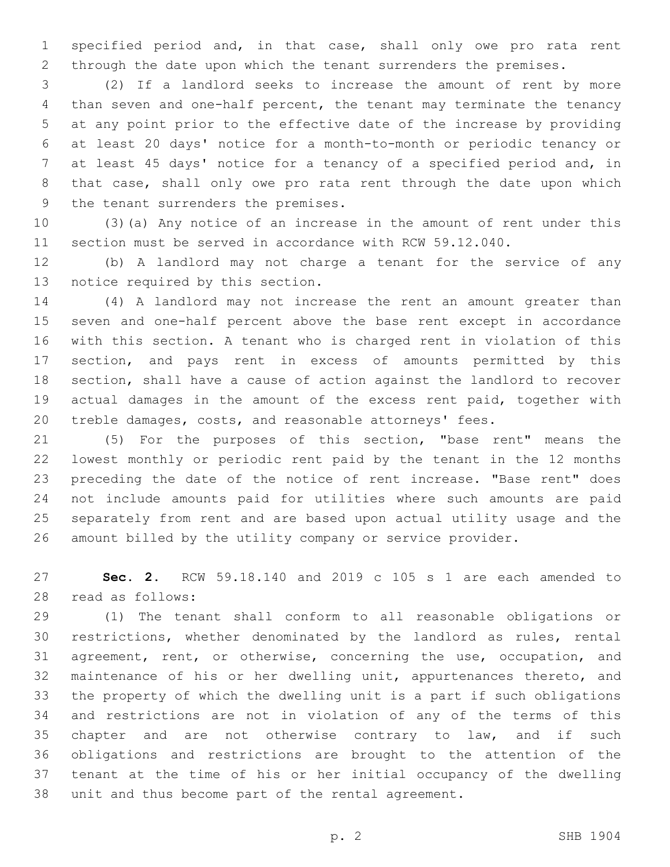specified period and, in that case, shall only owe pro rata rent through the date upon which the tenant surrenders the premises.

 (2) If a landlord seeks to increase the amount of rent by more than seven and one-half percent, the tenant may terminate the tenancy at any point prior to the effective date of the increase by providing at least 20 days' notice for a month-to-month or periodic tenancy or at least 45 days' notice for a tenancy of a specified period and, in that case, shall only owe pro rata rent through the date upon which 9 the tenant surrenders the premises.

 (3)(a) Any notice of an increase in the amount of rent under this section must be served in accordance with RCW 59.12.040.

 (b) A landlord may not charge a tenant for the service of any 13 notice required by this section.

 (4) A landlord may not increase the rent an amount greater than seven and one-half percent above the base rent except in accordance with this section. A tenant who is charged rent in violation of this section, and pays rent in excess of amounts permitted by this section, shall have a cause of action against the landlord to recover actual damages in the amount of the excess rent paid, together with treble damages, costs, and reasonable attorneys' fees.

 (5) For the purposes of this section, "base rent" means the lowest monthly or periodic rent paid by the tenant in the 12 months preceding the date of the notice of rent increase. "Base rent" does not include amounts paid for utilities where such amounts are paid separately from rent and are based upon actual utility usage and the amount billed by the utility company or service provider.

 **Sec. 2.** RCW 59.18.140 and 2019 c 105 s 1 are each amended to read as follows:28

 (1) The tenant shall conform to all reasonable obligations or restrictions, whether denominated by the landlord as rules, rental agreement, rent, or otherwise, concerning the use, occupation, and maintenance of his or her dwelling unit, appurtenances thereto, and the property of which the dwelling unit is a part if such obligations and restrictions are not in violation of any of the terms of this 35 chapter and are not otherwise contrary to law, and if such obligations and restrictions are brought to the attention of the tenant at the time of his or her initial occupancy of the dwelling unit and thus become part of the rental agreement.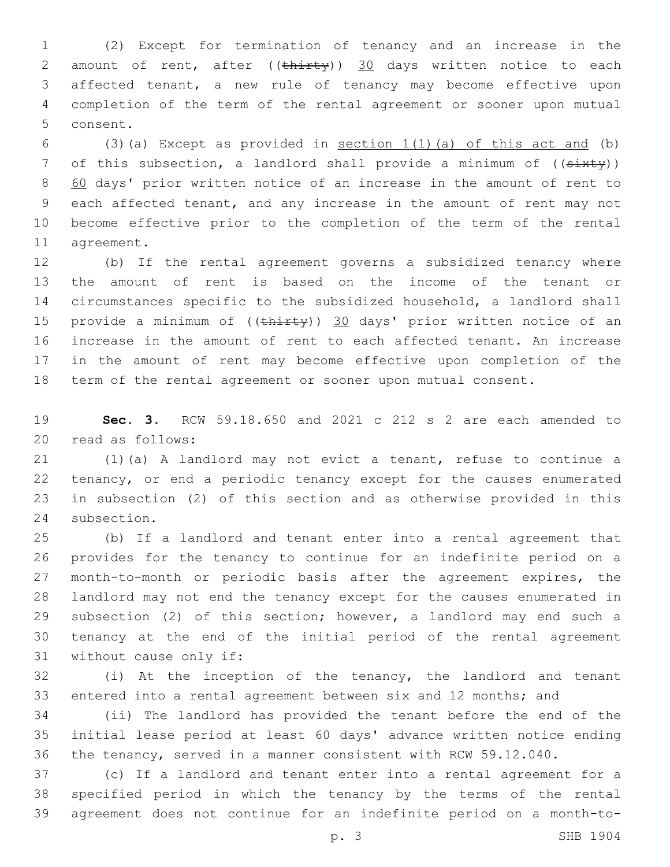(2) Except for termination of tenancy and an increase in the 2 amount of rent, after  $((\text{thirty}))$  30 days written notice to each affected tenant, a new rule of tenancy may become effective upon completion of the term of the rental agreement or sooner upon mutual 5 consent.

6 (3)(a) Except as provided in section  $1(1)(a)$  of this act and (b) 7 of this subsection, a landlord shall provide a minimum of  $((s+$  60 days' prior written notice of an increase in the amount of rent to each affected tenant, and any increase in the amount of rent may not become effective prior to the completion of the term of the rental 11 agreement.

 (b) If the rental agreement governs a subsidized tenancy where the amount of rent is based on the income of the tenant or circumstances specific to the subsidized household, a landlord shall 15 provide a minimum of ((thirty)) 30 days' prior written notice of an increase in the amount of rent to each affected tenant. An increase in the amount of rent may become effective upon completion of the term of the rental agreement or sooner upon mutual consent.

 **Sec. 3.** RCW 59.18.650 and 2021 c 212 s 2 are each amended to 20 read as follows:

 (1)(a) A landlord may not evict a tenant, refuse to continue a tenancy, or end a periodic tenancy except for the causes enumerated in subsection (2) of this section and as otherwise provided in this 24 subsection.

 (b) If a landlord and tenant enter into a rental agreement that provides for the tenancy to continue for an indefinite period on a month-to-month or periodic basis after the agreement expires, the landlord may not end the tenancy except for the causes enumerated in subsection (2) of this section; however, a landlord may end such a tenancy at the end of the initial period of the rental agreement 31 without cause only if:

 (i) At the inception of the tenancy, the landlord and tenant entered into a rental agreement between six and 12 months; and

 (ii) The landlord has provided the tenant before the end of the initial lease period at least 60 days' advance written notice ending the tenancy, served in a manner consistent with RCW 59.12.040.

 (c) If a landlord and tenant enter into a rental agreement for a specified period in which the tenancy by the terms of the rental agreement does not continue for an indefinite period on a month-to-

p. 3 SHB 1904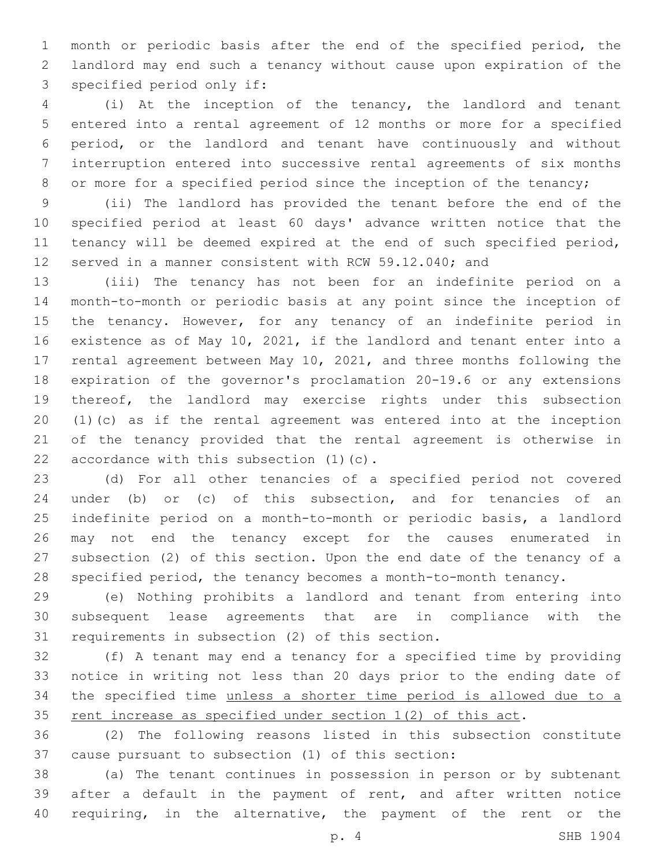month or periodic basis after the end of the specified period, the landlord may end such a tenancy without cause upon expiration of the 3 specified period only if:

 (i) At the inception of the tenancy, the landlord and tenant entered into a rental agreement of 12 months or more for a specified period, or the landlord and tenant have continuously and without interruption entered into successive rental agreements of six months 8 or more for a specified period since the inception of the tenancy;

 (ii) The landlord has provided the tenant before the end of the specified period at least 60 days' advance written notice that the tenancy will be deemed expired at the end of such specified period, served in a manner consistent with RCW 59.12.040; and

 (iii) The tenancy has not been for an indefinite period on a month-to-month or periodic basis at any point since the inception of the tenancy. However, for any tenancy of an indefinite period in existence as of May 10, 2021, if the landlord and tenant enter into a rental agreement between May 10, 2021, and three months following the expiration of the governor's proclamation 20-19.6 or any extensions thereof, the landlord may exercise rights under this subsection (1)(c) as if the rental agreement was entered into at the inception of the tenancy provided that the rental agreement is otherwise in 22 accordance with this subsection  $(1)(c)$ .

 (d) For all other tenancies of a specified period not covered under (b) or (c) of this subsection, and for tenancies of an indefinite period on a month-to-month or periodic basis, a landlord may not end the tenancy except for the causes enumerated in subsection (2) of this section. Upon the end date of the tenancy of a specified period, the tenancy becomes a month-to-month tenancy.

 (e) Nothing prohibits a landlord and tenant from entering into subsequent lease agreements that are in compliance with the 31 requirements in subsection (2) of this section.

 (f) A tenant may end a tenancy for a specified time by providing notice in writing not less than 20 days prior to the ending date of the specified time unless a shorter time period is allowed due to a 35 rent increase as specified under section 1(2) of this act.

 (2) The following reasons listed in this subsection constitute 37 cause pursuant to subsection (1) of this section:

 (a) The tenant continues in possession in person or by subtenant after a default in the payment of rent, and after written notice 40 requiring, in the alternative, the payment of the rent or the

p. 4 SHB 1904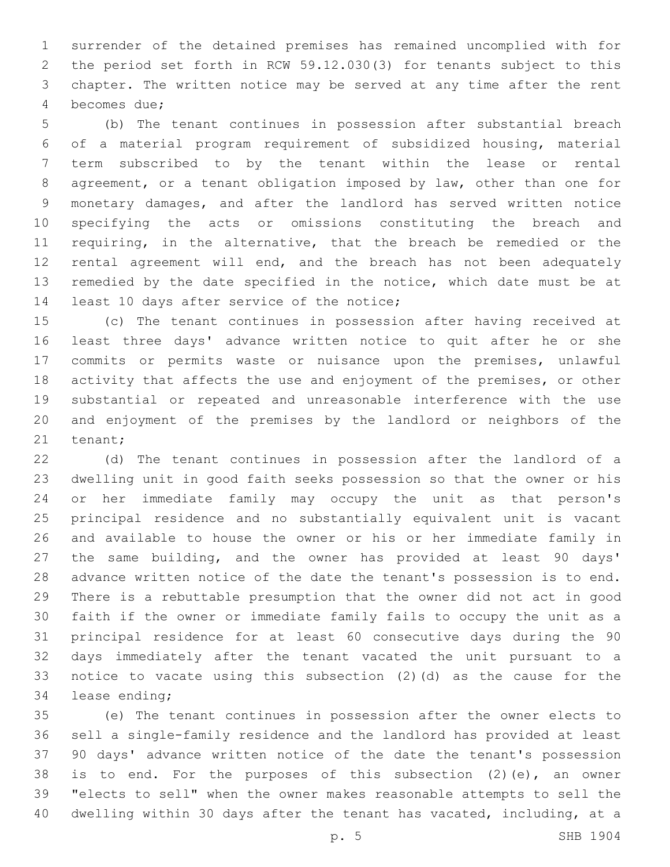surrender of the detained premises has remained uncomplied with for the period set forth in RCW 59.12.030(3) for tenants subject to this chapter. The written notice may be served at any time after the rent 4 becomes due;

 (b) The tenant continues in possession after substantial breach of a material program requirement of subsidized housing, material term subscribed to by the tenant within the lease or rental agreement, or a tenant obligation imposed by law, other than one for monetary damages, and after the landlord has served written notice specifying the acts or omissions constituting the breach and requiring, in the alternative, that the breach be remedied or the 12 rental agreement will end, and the breach has not been adequately remedied by the date specified in the notice, which date must be at 14 least 10 days after service of the notice;

 (c) The tenant continues in possession after having received at least three days' advance written notice to quit after he or she commits or permits waste or nuisance upon the premises, unlawful 18 activity that affects the use and enjoyment of the premises, or other substantial or repeated and unreasonable interference with the use and enjoyment of the premises by the landlord or neighbors of the 21 tenant;

 (d) The tenant continues in possession after the landlord of a dwelling unit in good faith seeks possession so that the owner or his or her immediate family may occupy the unit as that person's principal residence and no substantially equivalent unit is vacant and available to house the owner or his or her immediate family in the same building, and the owner has provided at least 90 days' advance written notice of the date the tenant's possession is to end. There is a rebuttable presumption that the owner did not act in good faith if the owner or immediate family fails to occupy the unit as a principal residence for at least 60 consecutive days during the 90 days immediately after the tenant vacated the unit pursuant to a notice to vacate using this subsection (2)(d) as the cause for the 34 lease ending;

 (e) The tenant continues in possession after the owner elects to sell a single-family residence and the landlord has provided at least 90 days' advance written notice of the date the tenant's possession is to end. For the purposes of this subsection (2)(e), an owner "elects to sell" when the owner makes reasonable attempts to sell the dwelling within 30 days after the tenant has vacated, including, at a

p. 5 SHB 1904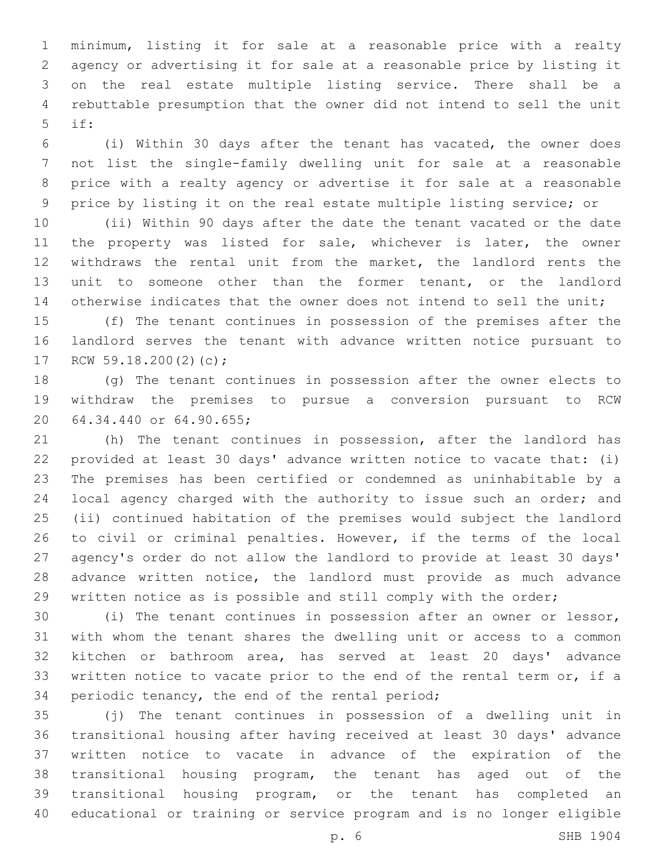minimum, listing it for sale at a reasonable price with a realty agency or advertising it for sale at a reasonable price by listing it on the real estate multiple listing service. There shall be a rebuttable presumption that the owner did not intend to sell the unit if:5

 (i) Within 30 days after the tenant has vacated, the owner does not list the single-family dwelling unit for sale at a reasonable price with a realty agency or advertise it for sale at a reasonable price by listing it on the real estate multiple listing service; or

 (ii) Within 90 days after the date the tenant vacated or the date 11 the property was listed for sale, whichever is later, the owner withdraws the rental unit from the market, the landlord rents the unit to someone other than the former tenant, or the landlord 14 otherwise indicates that the owner does not intend to sell the unit;

 (f) The tenant continues in possession of the premises after the landlord serves the tenant with advance written notice pursuant to 17 RCW 59.18.200(2)(c);

 (g) The tenant continues in possession after the owner elects to withdraw the premises to pursue a conversion pursuant to RCW 20 64.34.440 or 64.90.655;

 (h) The tenant continues in possession, after the landlord has provided at least 30 days' advance written notice to vacate that: (i) The premises has been certified or condemned as uninhabitable by a local agency charged with the authority to issue such an order; and (ii) continued habitation of the premises would subject the landlord to civil or criminal penalties. However, if the terms of the local agency's order do not allow the landlord to provide at least 30 days' advance written notice, the landlord must provide as much advance written notice as is possible and still comply with the order;

 (i) The tenant continues in possession after an owner or lessor, with whom the tenant shares the dwelling unit or access to a common kitchen or bathroom area, has served at least 20 days' advance 33 written notice to vacate prior to the end of the rental term or, if a 34 periodic tenancy, the end of the rental period;

 (j) The tenant continues in possession of a dwelling unit in transitional housing after having received at least 30 days' advance written notice to vacate in advance of the expiration of the transitional housing program, the tenant has aged out of the transitional housing program, or the tenant has completed an educational or training or service program and is no longer eligible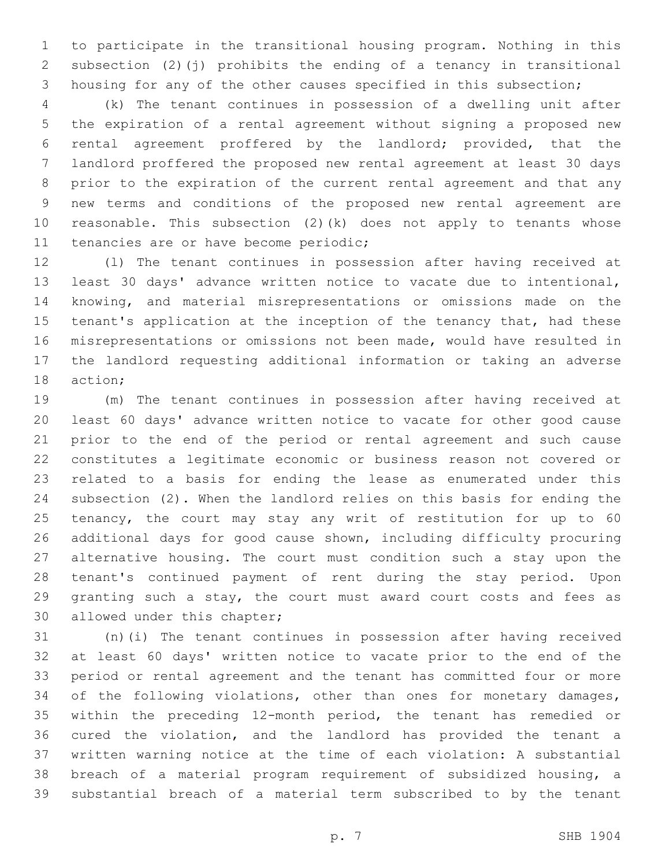to participate in the transitional housing program. Nothing in this subsection (2)(j) prohibits the ending of a tenancy in transitional housing for any of the other causes specified in this subsection;

 (k) The tenant continues in possession of a dwelling unit after the expiration of a rental agreement without signing a proposed new rental agreement proffered by the landlord; provided, that the landlord proffered the proposed new rental agreement at least 30 days prior to the expiration of the current rental agreement and that any new terms and conditions of the proposed new rental agreement are reasonable. This subsection (2)(k) does not apply to tenants whose 11 tenancies are or have become periodic;

 (l) The tenant continues in possession after having received at least 30 days' advance written notice to vacate due to intentional, knowing, and material misrepresentations or omissions made on the 15 tenant's application at the inception of the tenancy that, had these misrepresentations or omissions not been made, would have resulted in the landlord requesting additional information or taking an adverse 18 action;

 (m) The tenant continues in possession after having received at least 60 days' advance written notice to vacate for other good cause prior to the end of the period or rental agreement and such cause constitutes a legitimate economic or business reason not covered or related to a basis for ending the lease as enumerated under this subsection (2). When the landlord relies on this basis for ending the tenancy, the court may stay any writ of restitution for up to 60 additional days for good cause shown, including difficulty procuring alternative housing. The court must condition such a stay upon the tenant's continued payment of rent during the stay period. Upon granting such a stay, the court must award court costs and fees as 30 allowed under this chapter;

 (n)(i) The tenant continues in possession after having received at least 60 days' written notice to vacate prior to the end of the period or rental agreement and the tenant has committed four or more 34 of the following violations, other than ones for monetary damages, within the preceding 12-month period, the tenant has remedied or cured the violation, and the landlord has provided the tenant a written warning notice at the time of each violation: A substantial breach of a material program requirement of subsidized housing, a substantial breach of a material term subscribed to by the tenant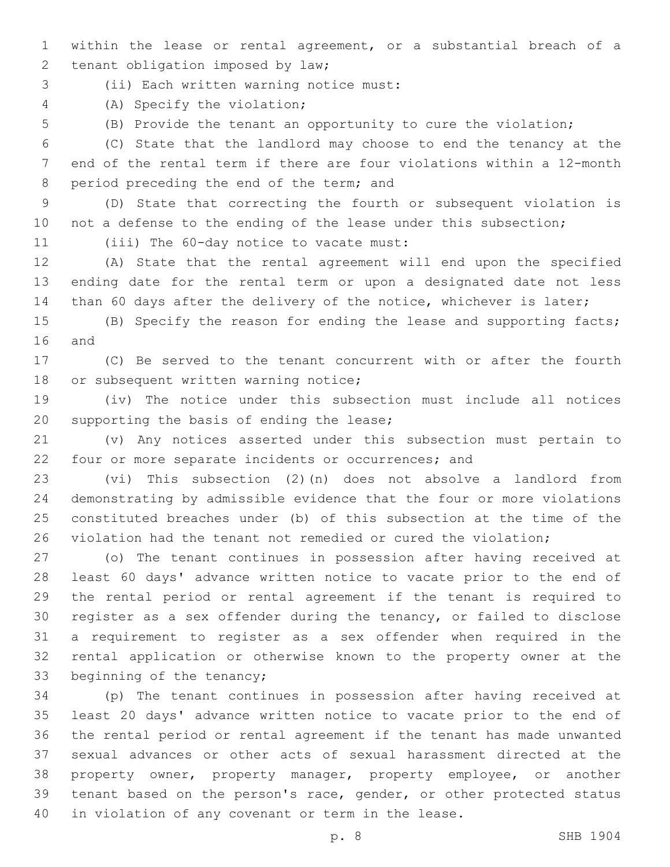- within the lease or rental agreement, or a substantial breach of a 2 tenant obligation imposed by law;
- (ii) Each written warning notice must:3
- (A) Specify the violation;4
- 

(B) Provide the tenant an opportunity to cure the violation;

 (C) State that the landlord may choose to end the tenancy at the end of the rental term if there are four violations within a 12-month 8 period preceding the end of the term; and

 (D) State that correcting the fourth or subsequent violation is 10 not a defense to the ending of the lease under this subsection;

11 (iii) The 60-day notice to vacate must:

 (A) State that the rental agreement will end upon the specified ending date for the rental term or upon a designated date not less 14 than 60 days after the delivery of the notice, whichever is later;

 (B) Specify the reason for ending the lease and supporting facts; 16 and

 (C) Be served to the tenant concurrent with or after the fourth 18 or subsequent written warning notice;

 (iv) The notice under this subsection must include all notices 20 supporting the basis of ending the lease;

 (v) Any notices asserted under this subsection must pertain to four or more separate incidents or occurrences; and

 (vi) This subsection (2)(n) does not absolve a landlord from demonstrating by admissible evidence that the four or more violations constituted breaches under (b) of this subsection at the time of the violation had the tenant not remedied or cured the violation;

 (o) The tenant continues in possession after having received at least 60 days' advance written notice to vacate prior to the end of the rental period or rental agreement if the tenant is required to register as a sex offender during the tenancy, or failed to disclose a requirement to register as a sex offender when required in the rental application or otherwise known to the property owner at the 33 beginning of the tenancy;

 (p) The tenant continues in possession after having received at least 20 days' advance written notice to vacate prior to the end of the rental period or rental agreement if the tenant has made unwanted sexual advances or other acts of sexual harassment directed at the property owner, property manager, property employee, or another tenant based on the person's race, gender, or other protected status in violation of any covenant or term in the lease.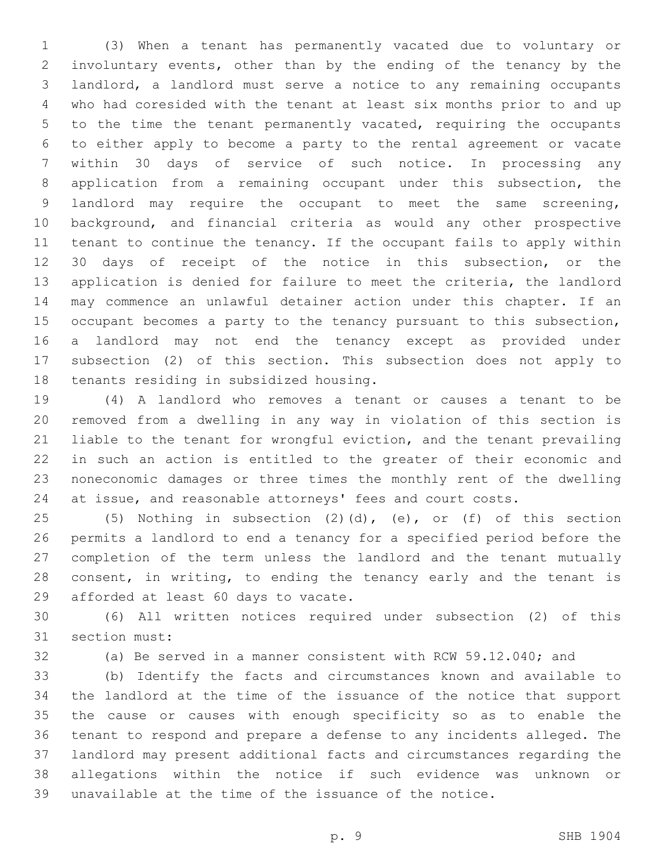(3) When a tenant has permanently vacated due to voluntary or involuntary events, other than by the ending of the tenancy by the landlord, a landlord must serve a notice to any remaining occupants who had coresided with the tenant at least six months prior to and up to the time the tenant permanently vacated, requiring the occupants to either apply to become a party to the rental agreement or vacate within 30 days of service of such notice. In processing any application from a remaining occupant under this subsection, the landlord may require the occupant to meet the same screening, background, and financial criteria as would any other prospective tenant to continue the tenancy. If the occupant fails to apply within 30 days of receipt of the notice in this subsection, or the application is denied for failure to meet the criteria, the landlord may commence an unlawful detainer action under this chapter. If an occupant becomes a party to the tenancy pursuant to this subsection, a landlord may not end the tenancy except as provided under subsection (2) of this section. This subsection does not apply to 18 tenants residing in subsidized housing.

 (4) A landlord who removes a tenant or causes a tenant to be removed from a dwelling in any way in violation of this section is liable to the tenant for wrongful eviction, and the tenant prevailing in such an action is entitled to the greater of their economic and noneconomic damages or three times the monthly rent of the dwelling at issue, and reasonable attorneys' fees and court costs.

 (5) Nothing in subsection (2)(d), (e), or (f) of this section permits a landlord to end a tenancy for a specified period before the completion of the term unless the landlord and the tenant mutually 28 consent, in writing, to ending the tenancy early and the tenant is 29 afforded at least 60 days to vacate.

 (6) All written notices required under subsection (2) of this 31 section must:

(a) Be served in a manner consistent with RCW 59.12.040; and

 (b) Identify the facts and circumstances known and available to the landlord at the time of the issuance of the notice that support the cause or causes with enough specificity so as to enable the tenant to respond and prepare a defense to any incidents alleged. The landlord may present additional facts and circumstances regarding the allegations within the notice if such evidence was unknown or unavailable at the time of the issuance of the notice.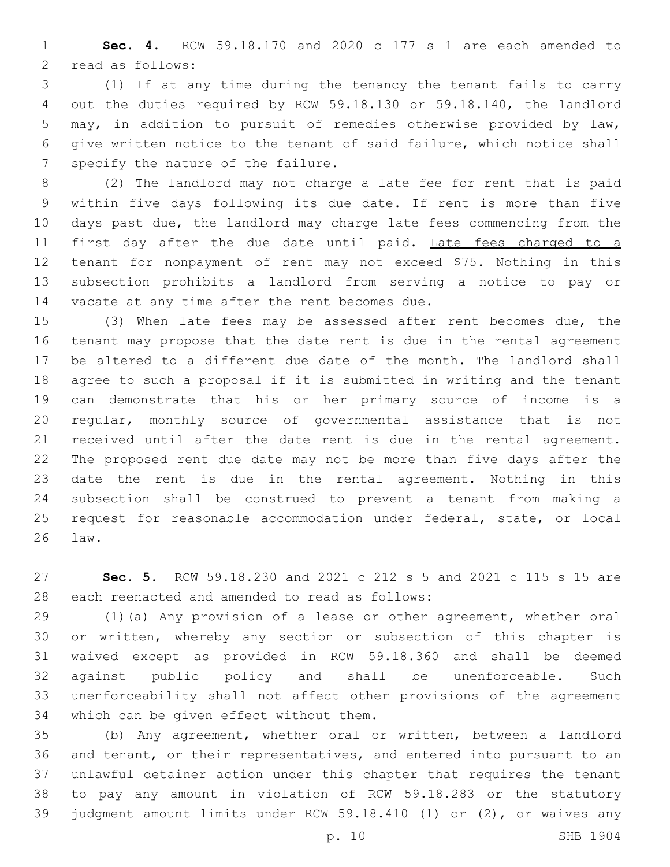**Sec. 4.** RCW 59.18.170 and 2020 c 177 s 1 are each amended to 2 read as follows:

 (1) If at any time during the tenancy the tenant fails to carry out the duties required by RCW 59.18.130 or 59.18.140, the landlord may, in addition to pursuit of remedies otherwise provided by law, give written notice to the tenant of said failure, which notice shall 7 specify the nature of the failure.

 (2) The landlord may not charge a late fee for rent that is paid within five days following its due date. If rent is more than five days past due, the landlord may charge late fees commencing from the 11 first day after the due date until paid. Late fees charged to a tenant for nonpayment of rent may not exceed \$75. Nothing in this subsection prohibits a landlord from serving a notice to pay or 14 vacate at any time after the rent becomes due.

 (3) When late fees may be assessed after rent becomes due, the tenant may propose that the date rent is due in the rental agreement be altered to a different due date of the month. The landlord shall agree to such a proposal if it is submitted in writing and the tenant can demonstrate that his or her primary source of income is a regular, monthly source of governmental assistance that is not received until after the date rent is due in the rental agreement. The proposed rent due date may not be more than five days after the date the rent is due in the rental agreement. Nothing in this subsection shall be construed to prevent a tenant from making a request for reasonable accommodation under federal, state, or local 26 law.

 **Sec. 5.** RCW 59.18.230 and 2021 c 212 s 5 and 2021 c 115 s 15 are 28 each reenacted and amended to read as follows:

 (1)(a) Any provision of a lease or other agreement, whether oral or written, whereby any section or subsection of this chapter is waived except as provided in RCW 59.18.360 and shall be deemed against public policy and shall be unenforceable. Such unenforceability shall not affect other provisions of the agreement 34 which can be given effect without them.

 (b) Any agreement, whether oral or written, between a landlord and tenant, or their representatives, and entered into pursuant to an unlawful detainer action under this chapter that requires the tenant to pay any amount in violation of RCW 59.18.283 or the statutory judgment amount limits under RCW 59.18.410 (1) or (2), or waives any

p. 10 SHB 1904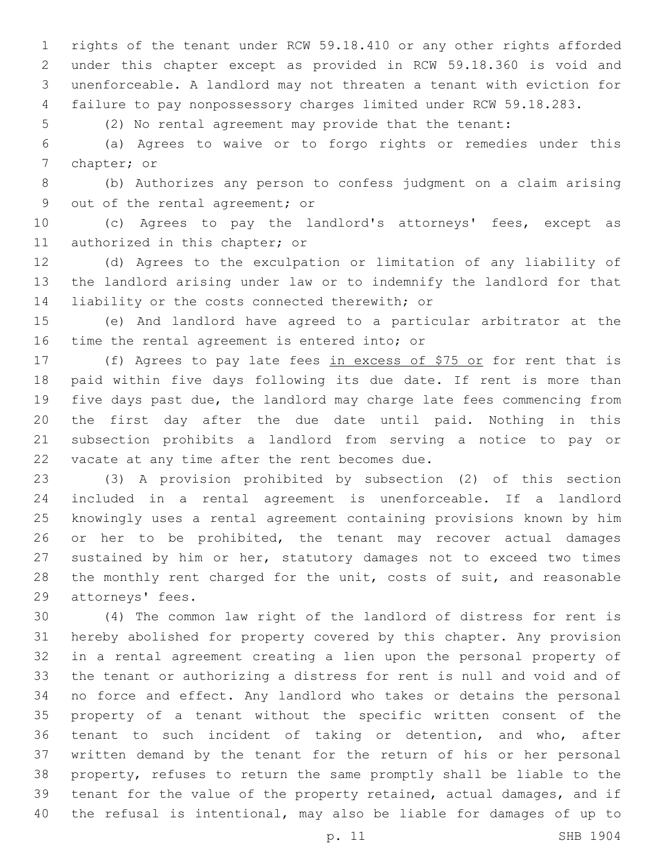rights of the tenant under RCW 59.18.410 or any other rights afforded under this chapter except as provided in RCW 59.18.360 is void and unenforceable. A landlord may not threaten a tenant with eviction for failure to pay nonpossessory charges limited under RCW 59.18.283.

(2) No rental agreement may provide that the tenant:

 (a) Agrees to waive or to forgo rights or remedies under this 7 chapter; or

 (b) Authorizes any person to confess judgment on a claim arising 9 out of the rental agreement; or

 (c) Agrees to pay the landlord's attorneys' fees, except as 11 authorized in this chapter; or

 (d) Agrees to the exculpation or limitation of any liability of the landlord arising under law or to indemnify the landlord for that 14 liability or the costs connected therewith; or

 (e) And landlord have agreed to a particular arbitrator at the 16 time the rental agreement is entered into; or

17 (f) Agrees to pay late fees in excess of \$75 or for rent that is paid within five days following its due date. If rent is more than five days past due, the landlord may charge late fees commencing from the first day after the due date until paid. Nothing in this subsection prohibits a landlord from serving a notice to pay or 22 vacate at any time after the rent becomes due.

 (3) A provision prohibited by subsection (2) of this section included in a rental agreement is unenforceable. If a landlord knowingly uses a rental agreement containing provisions known by him or her to be prohibited, the tenant may recover actual damages sustained by him or her, statutory damages not to exceed two times 28 the monthly rent charged for the unit, costs of suit, and reasonable 29 attorneys' fees.

 (4) The common law right of the landlord of distress for rent is hereby abolished for property covered by this chapter. Any provision in a rental agreement creating a lien upon the personal property of the tenant or authorizing a distress for rent is null and void and of no force and effect. Any landlord who takes or detains the personal property of a tenant without the specific written consent of the tenant to such incident of taking or detention, and who, after written demand by the tenant for the return of his or her personal property, refuses to return the same promptly shall be liable to the tenant for the value of the property retained, actual damages, and if the refusal is intentional, may also be liable for damages of up to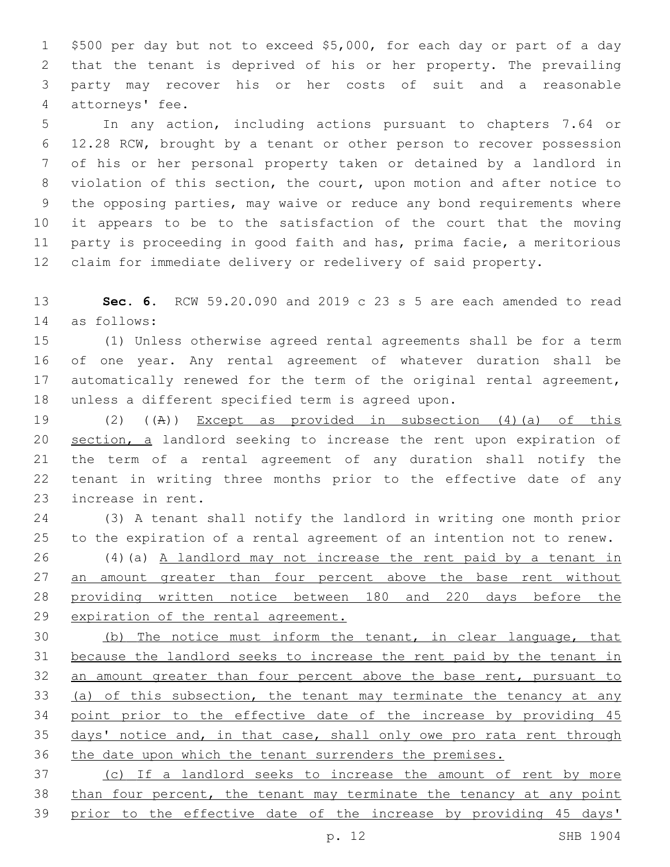\$500 per day but not to exceed \$5,000, for each day or part of a day that the tenant is deprived of his or her property. The prevailing party may recover his or her costs of suit and a reasonable 4 attorneys' fee.

 In any action, including actions pursuant to chapters 7.64 or 12.28 RCW, brought by a tenant or other person to recover possession of his or her personal property taken or detained by a landlord in violation of this section, the court, upon motion and after notice to the opposing parties, may waive or reduce any bond requirements where it appears to be to the satisfaction of the court that the moving party is proceeding in good faith and has, prima facie, a meritorious claim for immediate delivery or redelivery of said property.

 **Sec. 6.** RCW 59.20.090 and 2019 c 23 s 5 are each amended to read as follows:14

 (1) Unless otherwise agreed rental agreements shall be for a term of one year. Any rental agreement of whatever duration shall be 17 automatically renewed for the term of the original rental agreement, 18 unless a different specified term is agreed upon.

 (2) ((A)) Except as provided in subsection (4)(a) of this 20 section, a landlord seeking to increase the rent upon expiration of the term of a rental agreement of any duration shall notify the tenant in writing three months prior to the effective date of any 23 increase in rent.

 (3) A tenant shall notify the landlord in writing one month prior to the expiration of a rental agreement of an intention not to renew.

 (4)(a) A landlord may not increase the rent paid by a tenant in 27 an amount greater than four percent above the base rent without providing written notice between 180 and 220 days before the expiration of the rental agreement.

 (b) The notice must inform the tenant, in clear language, that because the landlord seeks to increase the rent paid by the tenant in 32 an amount greater than four percent above the base rent, pursuant to (a) of this subsection, the tenant may terminate the tenancy at any 34 point prior to the effective date of the increase by providing 45 35 days' notice and, in that case, shall only owe pro rata rent through the date upon which the tenant surrenders the premises.

 (c) If a landlord seeks to increase the amount of rent by more 38 than four percent, the tenant may terminate the tenancy at any point prior to the effective date of the increase by providing 45 days'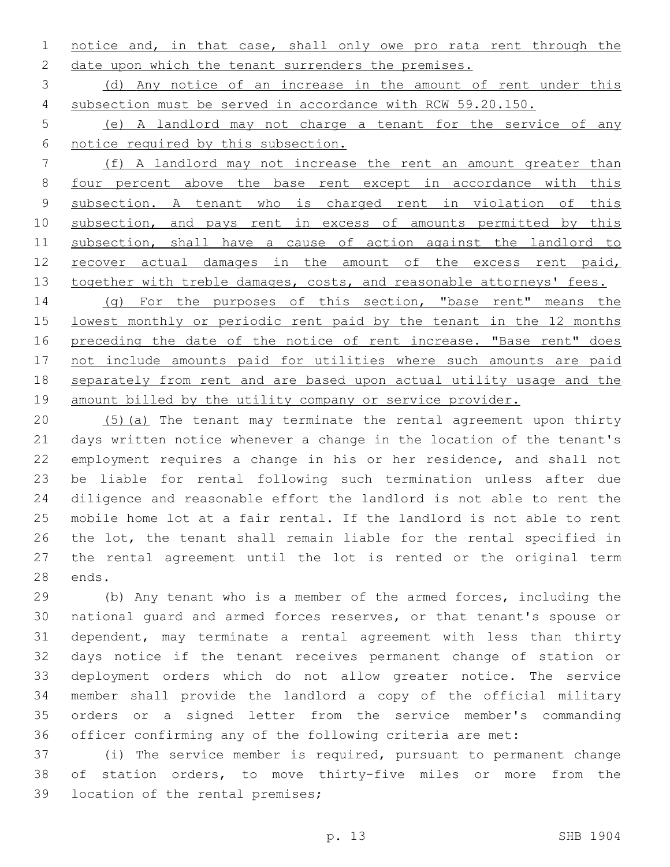1 notice and, in that case, shall only owe pro rata rent through the 2 date upon which the tenant surrenders the premises.

 (d) Any notice of an increase in the amount of rent under this subsection must be served in accordance with RCW 59.20.150.

 (e) A landlord may not charge a tenant for the service of any notice required by this subsection.

 (f) A landlord may not increase the rent an amount greater than four percent above the base rent except in accordance with this 9 subsection. A tenant who is charged rent in violation of this 10 subsection, and pays rent in excess of amounts permitted by this 11 subsection, shall have a cause of action against the landlord to 12 recover actual damages in the amount of the excess rent paid, 13 together with treble damages, costs, and reasonable attorneys' fees.

14 (g) For the purposes of this section, "base rent" means the lowest monthly or periodic rent paid by the tenant in the 12 months 16 preceding the date of the notice of rent increase. "Base rent" does not include amounts paid for utilities where such amounts are paid separately from rent and are based upon actual utility usage and the 19 amount billed by the utility company or service provider.

 (5)(a) The tenant may terminate the rental agreement upon thirty days written notice whenever a change in the location of the tenant's employment requires a change in his or her residence, and shall not be liable for rental following such termination unless after due diligence and reasonable effort the landlord is not able to rent the mobile home lot at a fair rental. If the landlord is not able to rent the lot, the tenant shall remain liable for the rental specified in the rental agreement until the lot is rented or the original term 28 ends.

 (b) Any tenant who is a member of the armed forces, including the national guard and armed forces reserves, or that tenant's spouse or dependent, may terminate a rental agreement with less than thirty days notice if the tenant receives permanent change of station or deployment orders which do not allow greater notice. The service member shall provide the landlord a copy of the official military orders or a signed letter from the service member's commanding officer confirming any of the following criteria are met:

 (i) The service member is required, pursuant to permanent change of station orders, to move thirty-five miles or more from the 39 location of the rental premises;